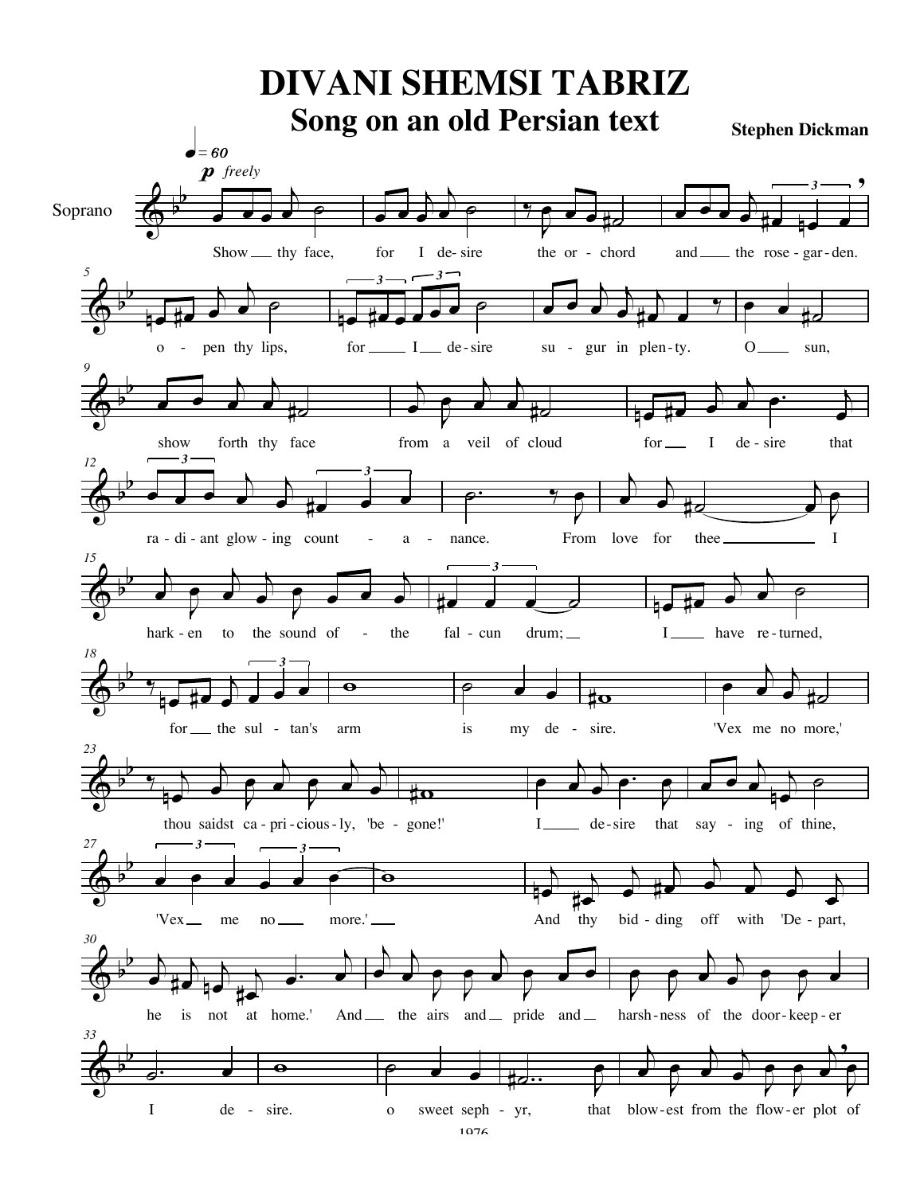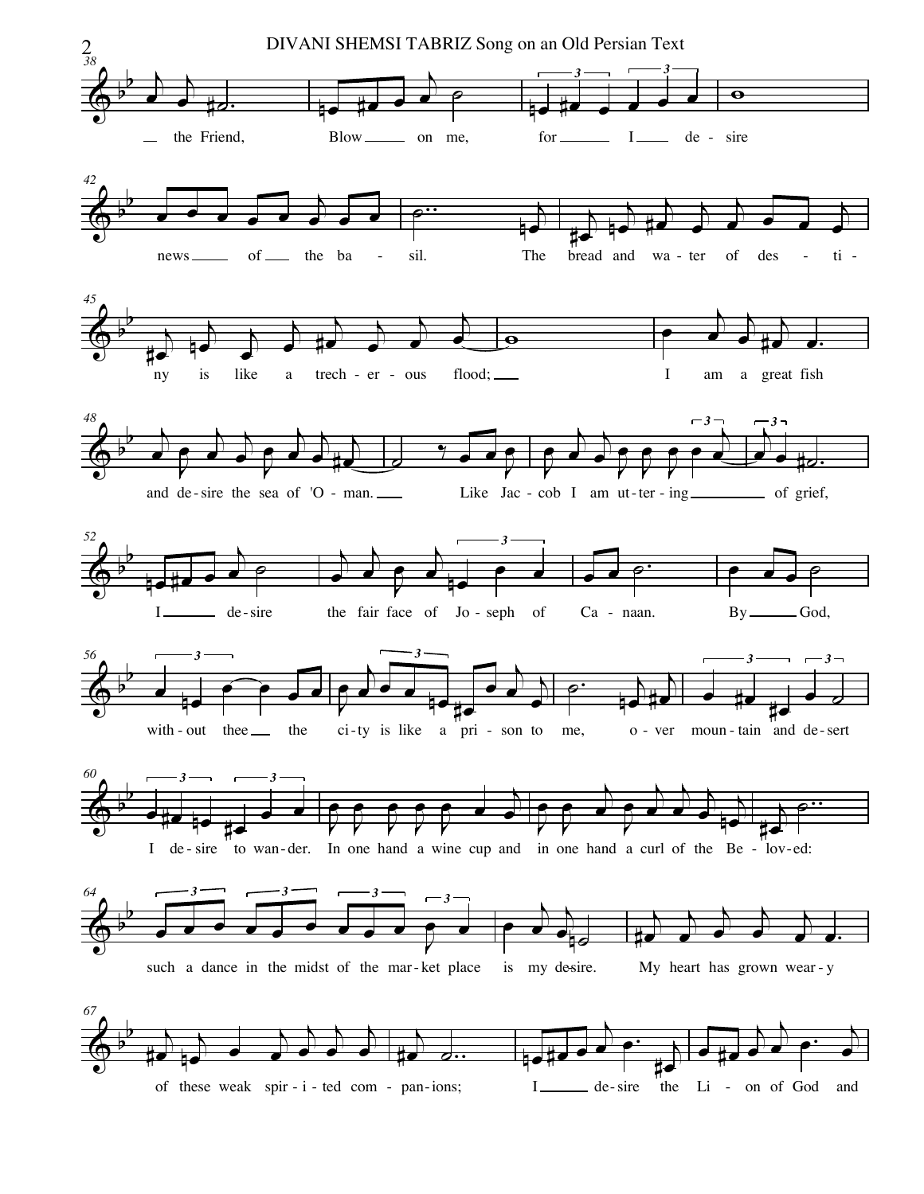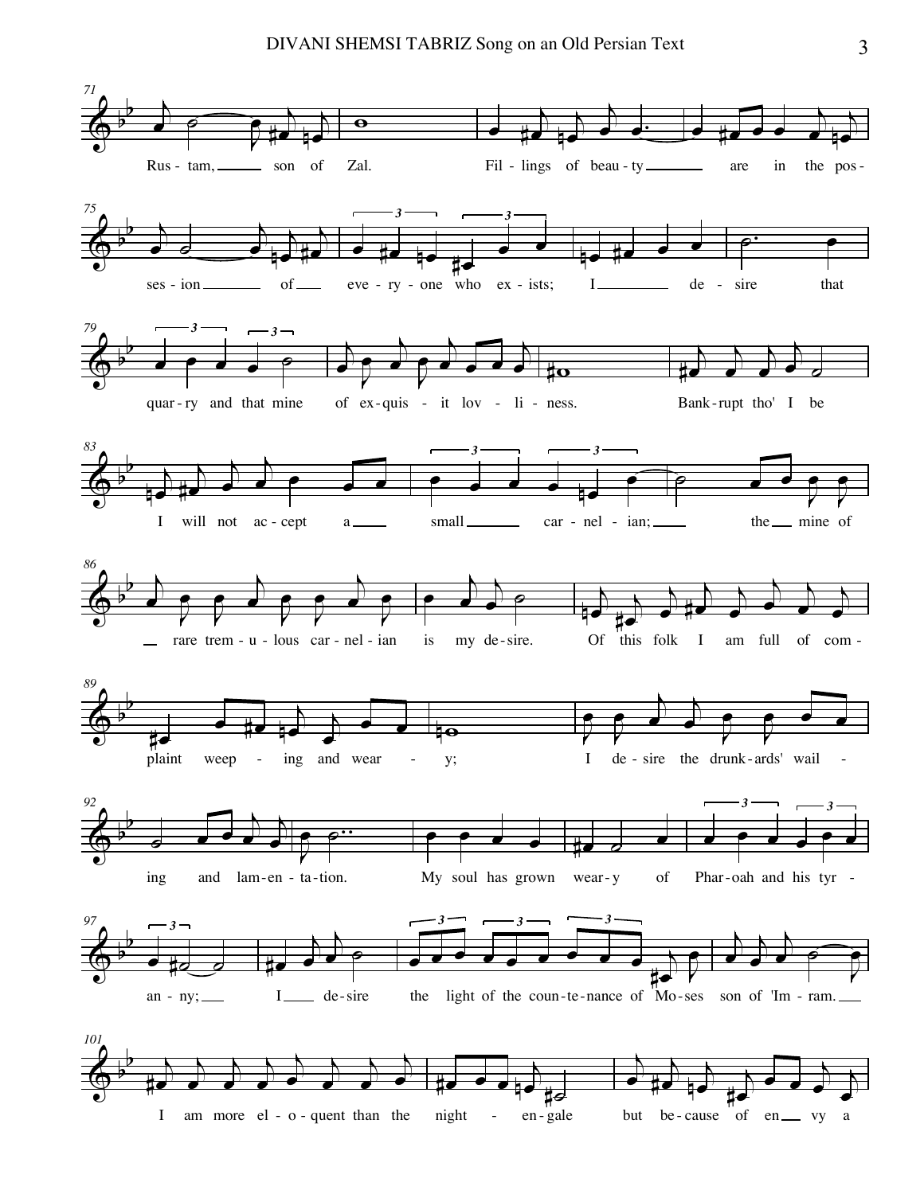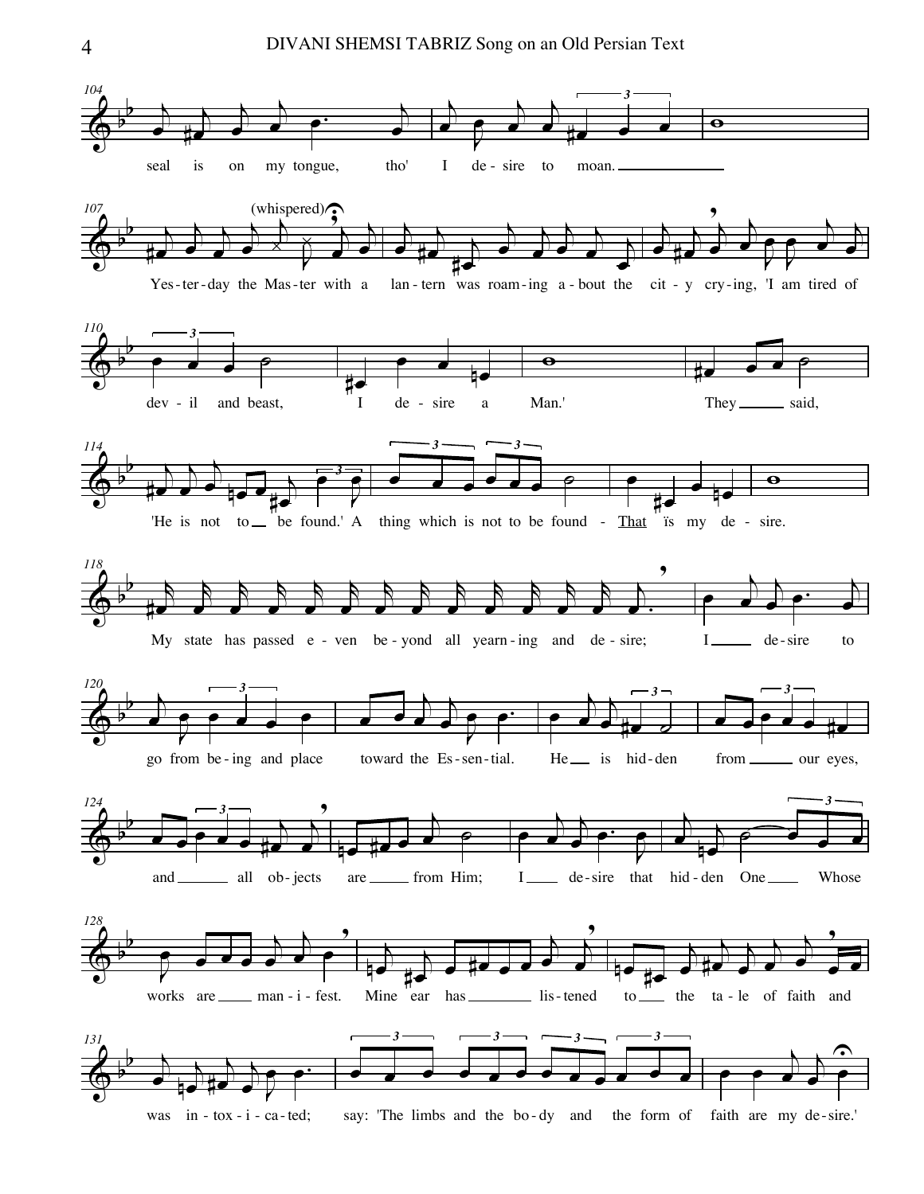